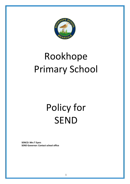

## Rookhope Primary School

# Policy for SEND

**SENCO: Mrs T Eyers SEND Governor: Contact school office**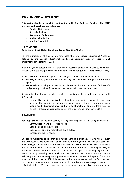#### **SPECIAL EDUCATIONAL NEEDS POLICY**

**This policy should be read in conjunction with The Code of Practice, The SEND Information Report and the following:**

- **Equality Objectives;**
- **Accessibility Plan;**
- **Assessment for Learning;**
- **Anti-Bullying Policy;**
- **Medical Needs Policy**

#### **1. DEFINITIONS**

#### **Definition of Special Educational Needs and Disability (SEND):**

For the purposes of this policy we have used the term Special Educational Needs as defined by the Special Educational Needs and Disability Code of Practice: 0-25 implemented in September 2014.

A child or young person has SEN if they have a learning difficulty or disability which calls for special educational provision to be made for him or her. *(Code of Practice D.F.E. 2015)* 

A child of compulsory school age has a learning difficulty or disability if he or she:

- a) has a significantly greater difficulty in learning than the majority of pupils of the same age; or
- b) has a disability which prevents or hinders him or her from making use of facilities of a kind generally provided for others of the same age in mainstream schools.

Special educational provision which meets the needs of children and young people with SEN includes:

 High quality teaching that is differentiated and personalized to meet the individual needs of the majority of children and young people. Some children and young people need educational provision that is additional to or different from this. This is special provision under Section 21 of the Children and Families Act 2014.

### **2. RATIONALE**

Rookhope School is an inclusive school, catering for a range of SEN, including pupils with:

- Communication and interaction needs.
- Cognition and learning needs
- Social, emotional and mental health difficulties
- Sensory or physical needs

Our school welcomes all children and values them as individuals, treating them equally and with respect. We believe that all children have the right to have their own particular needs recognised and addressed in order to achieve success. We believe that all teachers are teachers of children with SEN and it is therefore a whole school responsibility to ensure that these children's needs are addressed. Through staff working together as a team, and in partnership with pupils and their parents, we strive to ensure that the following aims are met. We place a great deal of value on the role of the parent/carer. We understand that it can be difficult in some cases for parents to deal with the fact that their child has additional needs and we are particularly sensitive in the early stages when a child is first identified. We aim to reassure parents/carers and clarify issues/information for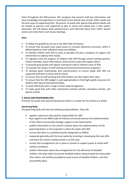them throughout the SEN process. We recognise that parents hold key information and have knowledge and experience to contribute to the shared view of their child's needs and the best ways of supporting them. All parents of pupils with Special Educational Needs will be treated as partners and supported to play an active and valued role in their pupil's education. We will always keep parents/carers well informed about their child's special needs and invite them to all review meetings.

## **Aims**

- To follow the guidelines set out in the SEN Code of Practice;
- To ensure that all pupils have equal access to a broad, balanced curriculum, which is differentiated to meet individual needs and abilities;
- To identify children with SEN as early as possible and plan a program of support and intervention to address their needs;
- To regularly track the progress of children with SEN through school tracking systems, review meetings, lesson observations and provision maps and support plans;
- To provide good quality and regular training for staff in relevant areas of SEN;
- To evaluate the impact of staff training and provision/intervention programs;
- To develop good relationships with parents/carers to ensure pupils with SEN are supported well both at home and at school;
- To ensure that all staff working with SEN children are clear about their roles;
- To ensure that the SEN budget is used appropriately to fund high quality resources for children with Special Educational Needs.
- To work effectively with a range of other external agencies;
- To make good links with other mainstream primary schools, secondary schools, and special schools.

## **3. ROLES AND RESPONSIBILITIES**

Provision for pupils with special educational needs is a matter for the school as a whole.

## **Governing Body**

The governing body will have the following responsibilities. They will:

- appoint a governor with specific responsibility for SEN:
- have regard to the SEND Code of Practice and should oversee the implementation of the reform and provide strategic support to the head teacher
- publish information on the school's website about the implementation of the governing body's or the proprietor's policy for pupils with SEN.
- ensure that there is a qualified teacher designated as SENCO.
- cooperate generally with the local authority including in developing the local offer and when the school is being named in an EHC plan.
- ensure that arrangements are in place in schools to support pupils at school with medical conditions.
- publish information about the arrangements for the admission of disabled children, the steps taken to prevent disabled children being treated less favourably than others, the facilities provided to assist access of disabled children, and their accessibility plans.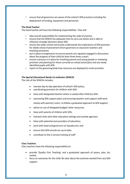• ensure that all governors are aware of the school's SEN provision including the deployment of funding, equipment and personnel.

## **The Head Teacher**

The head teacher will have the following responsibilities. They will:

- take overall responsibility for implementing the code of practice.
- ensure that the SENCO has adequate time to carry out duties and is able to influence strategic decisions about SEN.
- ensure the wider school community understands the implications of SEN provision for whole school improvement (from governors to classroom teachers and teaching assistants).
- put in place arrangements to ensure parents are regularly engaged in discussions about the progress of their child (at least three times a year).
- ensure a process is in place for involving parents and young people in reviewing provision and planning for those currently on school action/plus and any newly identified pupils with SEN.
- report to the governing body how resources are deployed to meet provision.

## **The Special Educational Needs Co-ordinator (SENCO)**

The role of the SENCOs includes:

- oversee day-to-day operation of school's SEN policy;
- coordinating provision for children with SEN;
- liaise with designated teacher where a Looked after Child has SEN;
- overseeing SEN support plans and ensuring teachers and support staff work

closely with parents/ carers to follow a graduated approach to SEN Support;

- advise on use of delegated budget/ other resources;
- liaise with parents of children with SEN;
- maintain links with other education settings and outside agencies;
- liaise with potential next providers of education;
- work with head and governors on Equality Act; and
- ensure that SEN records are up to date.
- contribute to the in service training of staff

### **Class Teachers**

Class teachers have the following responsibility to:

- provide 'Quality First Teaching' and a graduated approach of assess, plan, do, review.
- focus on outcomes for the child: Be clear about the outcome wanted from any SEN support.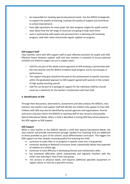- be responsible for meeting special educational needs: Use the SENCO strategically to support the quality of teaching, evaluate the quality of support and contribute to school improvement.
- have high aspirations for every pupil: Set clear progress targets for pupils and be clear about how the full range of resources are going to help reach them.
- work in partnership with pupils and parents/carers in planning and reviewing progress, seek their views and provide regular updates on progress.

## **SEN Support Staff**

Class teachers work with SEN support staff to plan effective provision for pupils with SEN. Effective liaison between support staff and class teachers is essential to ensure planned activities are linked to targets set out in support plans.

- LSA/TAs are part of the whole school approach to SEN working in partnership with the class teacher and the SENCO to deliver pupil progress and to narrow gaps in performance.
- The support they give should be focused on the achievement of specific outcomes within the graduated approach to SEN support agreed with parents in the context of high quality teaching overall.
- LSA/TAs can be part of a package of support for the individual child but should never be a substitute for the teacher's involvement with that child.

## **3. Identification of SEN**

Through their discussions, observations, assessments and data analysis the SENCOs, class teachers, key workers and support staff will identify any children who appear to have SEN. Children with SEN may also be identified by outside agencies and organisations. Parents and carers may also inform the SENCOs or teaching staff of any concerns and possible Special Educational Needs. When a child is identified as having SEN they will be placed on the SEN register as SEN Support.

#### **SEN Support**

When a class teacher or the SENCOs identify a child with Special Educational Needs, the class teacher will provide interventions through 'Quality First Teaching' that are additional to those provided as part of the school's usual differentiated curriculum. The triggers for SEN support are that, despite receiving quality first teaching the child:

- continues to make little or no progress in specific areas over a long period;
- continues working at National Curriculum levels substantially below that expected of children of a similar age;
- continues to have difficulty in developing literacy and mathematics skills;
- has emotional difficulties which substantially and regularly interfere with the child's own learning or that of the class group.
- has sensory or physical needs, and requires additional specialist equipment or regular advice or visits by a specialist service;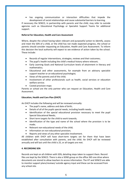has ongoing communication or interaction difficulties that impede the development of social relationships and cause substantial barriers to learning.

If necessary the SENCO, in partnership with parents and the child, may refer to outside agencies such as Educational Psychology or Specialist Support Teams for additional support.

## **Referral for Education, Health and Care Assessment**

Where, despite the school having taken relevant and purposeful action to identify, assess and meet the SEN of a child, or the child has not made expected progress, the school or parents should consider requesting an Education, Health and Care Assessment. To inform this decision the local authority will expect to see evidence of action taken by the school. These include:

- Records of regular interventions, strategies, reviews and their outcomes;
- The pupil's health including the child's medical history where relevant;
- Early Learning Goals and National Curriculum levels of attainment in literacy and mathematics;
- Educational and other assessments, for example from an advisory specialist support teacher or an educational psychologist;
- Views of the parents and of the child;
- Involvement of other professionals such as health, social services or education welfare service.
- Costed provision maps

Parents or school are the only partner who can request an Education, Health and Care Assessment.

## **Education, Health and Care Plan (EHCP)**

An EHCP includes the following and will be reviewed annually:

- The pupil's name, address and date of birth;
- Details of all of the pupils special needs, including health needs;
- Identification of the special educational provision necessary to meet the pupil Special Educational Needs;
- Short term targets for the child to work towards;
- Identification of the type and name of the school where the provision is to be made;
- Relevant non-educational needs of the child;
- Information on non-educational provision;
- Reports and views of any other specialist involvement.

All children with EHCP will have short-term targets set for them that have been established after consultation with parents, and the child. An EHCP will be reviewed annually and will last until the child is 25, or all targets are met.

## **4. RECORDING SEN**

Records are kept on all children with SEN, detailing steps taken to support them. Record files are kept by the SENCO. There is also a SEND group on the office 365 one drive where documents are stored to allow teachers to access information. The HT and SENCO are able to monitor support plans/reviews/ outside agency input and these can be accessed from any school site.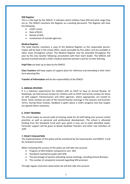### **SEN Register**

This is a file kept by the SENCO. It indicates which children have SEN and what stage they are at. The SENCO maintains the Register as a working document. The Register will state the following:

- Child's name;
- Date of Birth;
- Details of SEN;
- Involvement of outside agencies;

#### **Medical Register**

The head teacher maintains a copy of the Medical Register as the responsible person. Copies will be kept in the school office, easily accessible by first aiders and are available in other areas throughout school. The Medical Register may be amended throughout the year by the class teacher following consultation with their team leader. The SENCOs will become involved should a child's medical attention present a barrier to their learning.

**Pupil Files** are kept up to date by the SENCO.

**Class Teachers** will keep copies of support plans for reference and amending in their short term planning files

**Transfer of Information** will be the responsibility of the SENCO

#### **5. ANNUAL REVIEWS**

It is a statutory requirement for children with an EHCP to have an Annual Review. At Rookhope, we hold annual reviews for children with an EHCP and termly reviews for those on SEN support. Parents/carers and other agencies, where appropriate, are invited to these. Some reviews are part of the Parent/Teacher evenings in the Autumn and Summer Terms. During these reviews, feedback is given about a child's progress and new targets are agreed where necessary.

#### **6. STAFF TRAINING**

The school makes an annual audit of training needs for all staff taking into account school priorities as well as personal and professional development. The school is allocated funding from the Standards Fund each year which it may use to meet identified needs. Particular support will be given to Newly Qualified Teachers and other new members of staff.

#### **7. POLICY EVALUATION**

The implementation of this policy will be monitored by the head teacher and SENCO. It will be reviewed annually.

When reviewing the success of this policy we will take into account:

- Progress of SEN children compared to non-SEN
- Standards reached by pupils with SEN;
- The percentage of parents attending review meetings, including Annual Reviews;
- The number of complaints received regarding SEN provision.

Through regular classroom observation we will also take into account: